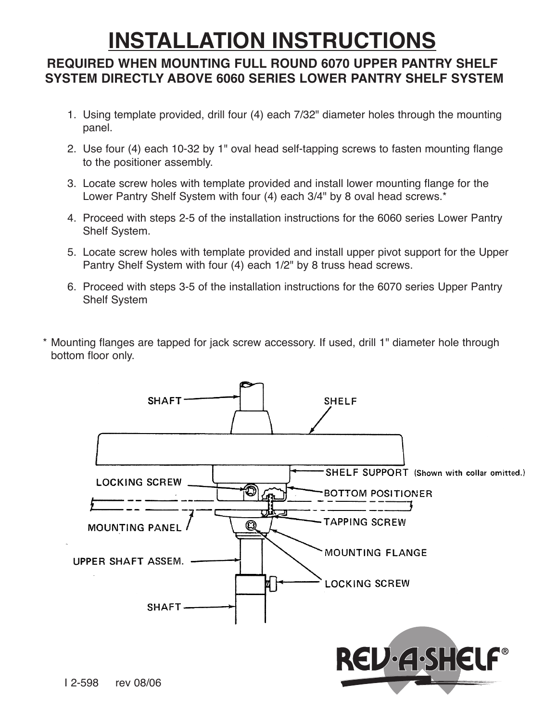# **INSTALLATION INSTRUCTIONS**

#### **REQUIRED WHEN MOUNTING FULL ROUND 6070 UPPER PANTRY SHELF SYSTEM DIRECTLY ABOVE 6060 SERIES LOWER PANTRY SHELF SYSTEM**

- 1. Using template provided, drill four (4) each 7/32" diameter holes through the mounting panel.
- 2. Use four (4) each 10-32 by 1" oval head self-tapping screws to fasten mounting flange to the positioner assembly.
- 3. Locate screw holes with template provided and install lower mounting flange for the Lower Pantry Shelf System with four (4) each 3/4" by 8 oval head screws.\*
- 4. Proceed with steps 2-5 of the installation instructions for the 6060 series Lower Pantry Shelf System.
- 5. Locate screw holes with template provided and install upper pivot support for the Upper Pantry Shelf System with four (4) each 1/2" by 8 truss head screws.
- 6. Proceed with steps 3-5 of the installation instructions for the 6070 series Upper Pantry Shelf System
- Mounting flanges are tapped for jack screw accessory. If used, drill 1" diameter hole through bottom floor only.